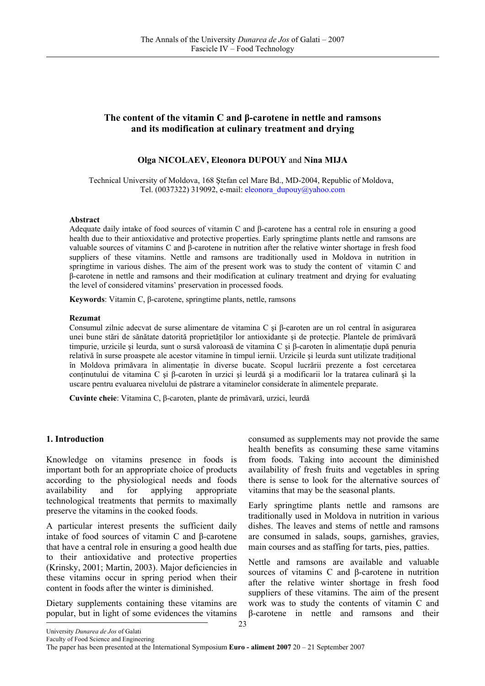# **The content of the vitamin C and β-carotene in nettle and ramsons and its modification at culinary treatment and drying**

# **Olga NICOLAEV, Eleonora DUPOUY** and **Nina MIJA**

Technical University of Moldova, 168 Ştefan cel Mare Bd., MD-2004, Republic of Moldova, Tel. (0037322) 319092, e-mail: eleonora\_dupouy@yahoo.com

#### **Abstract**

Adequate daily intake of food sources of vitamin C and β-carotene has a central role in ensuring a good health due to their antioxidative and protective properties. Early springtime plants nettle and ramsons are valuable sources of vitamins C and β-carotene in nutrition after the relative winter shortage in fresh food suppliers of these vitamins. Nettle and ramsons are traditionally used in Moldova in nutrition in springtime in various dishes. The aim of the present work was to study the content of vitamin C and β-carotene in nettle and ramsons and their modification at culinary treatment and drying for evaluating the level of considered vitamins' preservation in processed foods.

**Keywords**: Vitamin C, β-carotene, springtime plants, nettle, ramsons

#### **Rezumat**

Consumul zilnic adecvat de surse alimentare de vitamina C şi β-caroten are un rol central în asigurarea unei bune stări de sănătate datorită proprietăţilor lor antioxidante şi de protecţie. Plantele de primăvară timpurie, urzicile și leurda, sunt o sursă valoroasă de vitamina C și β-caroten în alimentație după penuria relativă în surse proaspete ale acestor vitamine în timpul iernii. Urzicile şi leurda sunt utilizate tradiţional în Moldova primăvara în alimentaţie în diverse bucate. Scopul lucrării prezente a fost cercetarea conținutului de vitamina C și β-caroten în urzici și leurdă și a modificarii lor la tratarea culinară și la uscare pentru evaluarea nivelului de păstrare a vitaminelor considerate în alimentele preparate.

**Cuvinte cheie**: Vitamina C, β-caroten, plante de primăvară, urzici, leurdă

#### **1. Introduction**

Knowledge on vitamins presence in foods is important both for an appropriate choice of products according to the physiological needs and foods availability and for applying appropriate technological treatments that permits to maximally preserve the vitamins in the cooked foods.

A particular interest presents the sufficient daily intake of food sources of vitamin C and β-carotene that have a central role in ensuring a good health due to their antioxidative and protective properties (Krinsky, 2001; Martin, 2003). Major deficiencies in these vitamins occur in spring period when their content in foods after the winter is diminished.

Dietary supplements containing these vitamins are popular, but in light of some evidences the vitamins

consumed as supplements may not provide the same health benefits as consuming these same vitamins from foods. Taking into account the diminished availability of fresh fruits and vegetables in spring there is sense to look for the alternative sources of vitamins that may be the seasonal plants.

Early springtime plants nettle and ramsons are traditionally used in Moldova in nutrition in various dishes. The leaves and stems of nettle and ramsons are consumed in salads, soups, garnishes, gravies, main courses and as staffing for tarts, pies, patties.

Nettle and ramsons are available and valuable sources of vitamins C and β-carotene in nutrition after the relative winter shortage in fresh food suppliers of these vitamins. The aim of the present work was to study the contents of vitamin C and β-carotene in nettle and ramsons and their

University *Dunarea de Jos* of Galati Faculty of Food Science and Engineering

The paper has been presented at the International Symposium **Euro - aliment 2007** 20 – 21 September 2007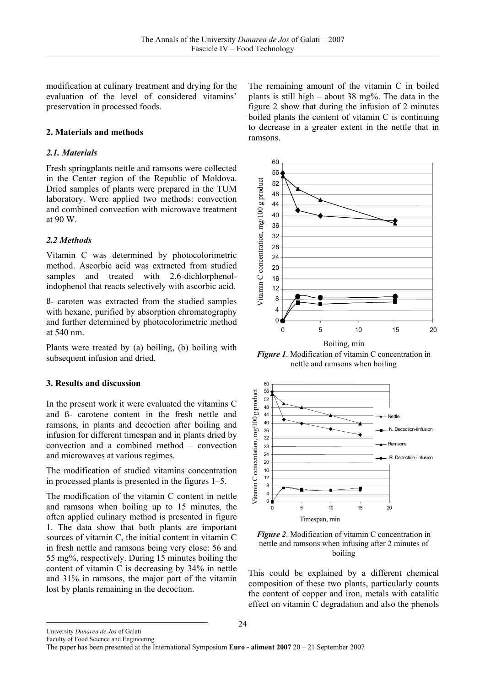modification at culinary treatment and drying for the evaluation of the level of considered vitamins' preservation in processed foods.

# **2. Materials and methods**

## *2.1. Materials*

Fresh springplants nettle and ramsons were collected in the Center region of the Republic of Moldova. Dried samples of plants were prepared in the TUM laboratory. Were applied two methods: convection and combined convection with microwave treatment at 90 W.

## *2.2 Methods*

Vitamin C was determined by photocolorimetric method. Ascorbic acid was extracted from studied samples and treated with 2,6-dichlorphenolindophenol that reacts selectively with ascorbic acid.

ß- caroten was extracted from the studied samples with hexane, purified by absorption chromatography and further determined by photocolorimetric method at 540 nm.

Plants were treated by (a) boiling, (b) boiling with subsequent infusion and dried.

# **3. Results and discussion**

In the present work it were evaluated the vitamins C and ß- carotene content in the fresh nettle and ramsons, in plants and decoction after boiling and infusion for different timespan and in plants dried by convection and a combined method – convection and microwaves at various regimes.

The modification of studied vitamins concentration in processed plants is presented in the figures 1–5.

The modification of the vitamin C content in nettle and ramsons when boiling up to 15 minutes, the often applied culinary method is presented in figure 1. The data show that both plants are important sources of vitamin C, the initial content in vitamin C in fresh nettle and ramsons being very close: 56 and 55 mg%, respectively. During 15 minutes boiling the content of vitamin C is decreasing by 34% in nettle and 31% in ramsons, the major part of the vitamin lost by plants remaining in the decoction.

The remaining amount of the vitamin C in boiled plants is still high – about 38 mg%. The data in the figure 2 show that during the infusion of 2 minutes boiled plants the content of vitamin C is continuing to decrease in a greater extent in the nettle that in ramsons.



*Figure 1*. Modification of vitamin C concentration in nettle and ramsons when boiling





This could be explained by a different chemical composition of these two plants, particularly counts the content of copper and iron, metals with catalitic effect on vitamin C degradation and also the phenols

University *Dunarea de Jos* of Galati Faculty of Food Science and Engineering

The paper has been presented at the International Symposium **Euro - aliment 2007** 20 – 21 September 2007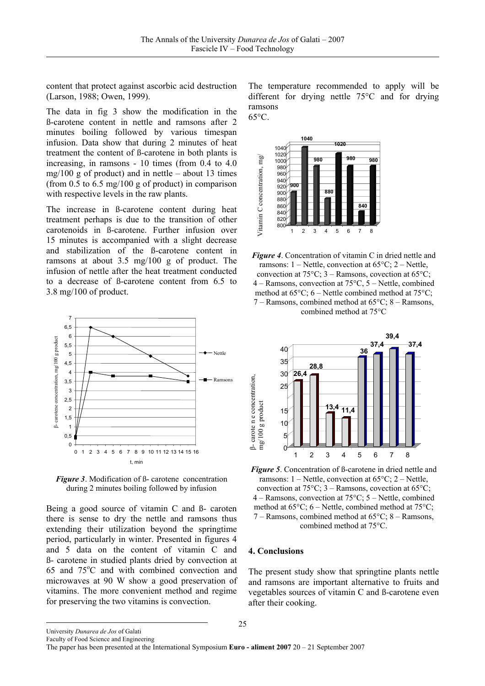content that protect against ascorbic acid destruction (Larson, 1988; Owen, 1999).

The data in fig 3 show the modification in the ß-carotene content in nettle and ramsons after 2 minutes boiling followed by various timespan infusion. Data show that during 2 minutes of heat treatment the content of ß-carotene in both plants is increasing, in ramsons - 10 times (from 0.4 to 4.0 mg/100 g of product) and in nettle – about 13 times (from 0.5 to 6.5 mg/100 g of product) in comparison with respective levels in the raw plants.

The increase in ß-carotene content during heat treatment perhaps is due to the transition of other carotenoids in ß-carotene. Further infusion over 15 minutes is accompanied with a slight decrease and stabilization of the ß-carotene content in ramsons at about 3.5 mg/100 g of product. The infusion of nettle after the heat treatment conducted to a decrease of ß-carotene content from 6.5 to 3.8 mg/100 of product.



*Figure 3*. Modification of ß- carotene concentration during 2 minutes boiling followed by infusion

Being a good source of vitamin C and ß- caroten there is sense to dry the nettle and ramsons thus extending their utilization beyond the springtime period, particularly in winter. Presented in figures 4 and 5 data on the content of vitamin C and ß- carotene in studied plants dried by convection at 65 and 75°C and with combined convection and microwaves at 90 W show a good preservation of vitamins. The more convenient method and regime for preserving the two vitamins is convection.

The temperature recommended to apply will be different for drying nettle 75°C and for drying ramsons 65°C.







*Figure 5*. Concentration of ß-carotene in dried nettle and ramsons:  $1 - \text{Nettle}$ , convection at  $65^{\circ}$ C;  $2 - \text{Nettle}$ , convection at  $75^{\circ}$ C; 3 – Ramsons, covection at  $65^{\circ}$ C; 4 – Ramsons, convection at 75°C; 5 – Nettle, combined method at  $65^{\circ}$ C; 6 – Nettle, combined method at  $75^{\circ}$ C; 7 – Ramsons, combined method at 65°C; 8 – Ramsons, combined method at 75°C.

#### **4. Conclusions**

The present study show that springtine plants nettle and ramsons are important alternative to fruits and vegetables sources of vitamin C and ß-carotene even after their cooking.

University *Dunarea de Jos* of Galati Faculty of Food Science and Engineering

The paper has been presented at the International Symposium **Euro - aliment 2007** 20 – 21 September 2007